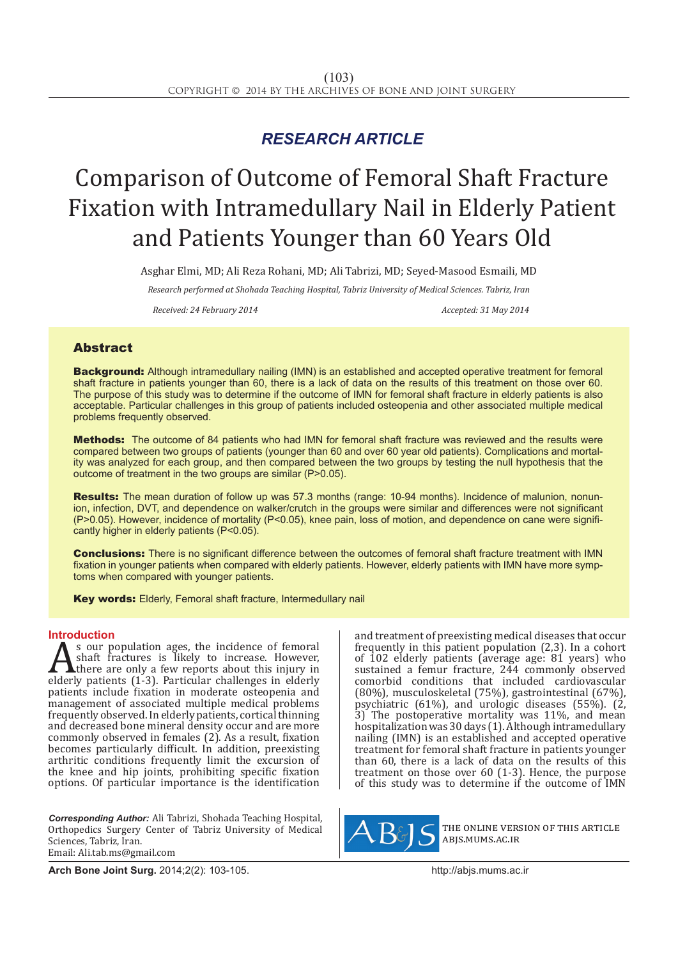## *RESEARCH ARTICLE*

# Comparison of Outcome of Femoral Shaft Fracture Fixation with Intramedullary Nail in Elderly Patient and Patients Younger than 60 Years Old

Asghar Elmi, MD; Ali Reza Rohani, MD; Ali Tabrizi, MD; Seyed-Masood Esmaili, MD

*Research performed at Shohada Teaching Hospital, Tabriz University of Medical Sciences. Tabriz, Iran*

*Received: 24 February 2014 Accepted: 31 May 2014*

### Abstract

Background: Although intramedullary nailing (IMN) is an established and accepted operative treatment for femoral shaft fracture in patients younger than 60, there is a lack of data on the results of this treatment on those over 60. The purpose of this study was to determine if the outcome of IMN for femoral shaft fracture in elderly patients is also acceptable. Particular challenges in this group of patients included osteopenia and other associated multiple medical problems frequently observed.

Methods: The outcome of 84 patients who had IMN for femoral shaft fracture was reviewed and the results were compared between two groups of patients (younger than 60 and over 60 year old patients). Complications and mortality was analyzed for each group, and then compared between the two groups by testing the null hypothesis that the outcome of treatment in the two groups are similar (P>0.05).

Results: The mean duration of follow up was 57.3 months (range: 10-94 months). Incidence of malunion, nonunion, infection, DVT, and dependence on walker/crutch in the groups were similar and differences were not significant (P>0.05). However, incidence of mortality (P<0.05), knee pain, loss of motion, and dependence on cane were significantly higher in elderly patients (P<0.05).

Conclusions: There is no significant difference between the outcomes of femoral shaft fracture treatment with IMN fixation in younger patients when compared with elderly patients. However, elderly patients with IMN have more symptoms when compared with younger patients.

Key words: Elderly, Femoral shaft fracture, Intermedullary nail

**Introduction**<br> **A** s our population ages, the incidence of femoral As our population ages, the incidence of femoral<br>shaft fractures is likely to increase. However,<br>there are only a few reports about this injury in<br>elderly patients (1-3). Particular challenges in elderly<br>patients include f shaft fractures is likely to increase. However, there are only a few reports about this injury in elderly patients (1-3). Particular challenges in elderly patients include fixation in moderate osteopenia and management of associated multiple medical problems frequently observed. In elderly patients, cortical thinning and decreased bone mineral density occur and are more commonly observed in females (2). As a result, fixation becomes particularly difficult. In addition, preexisting arthritic conditions frequently limit the excursion of the knee and hip joints, prohibiting specific fixation options. Of particular importance is the identification

*Corresponding Author:* Ali Tabrizi, Shohada Teaching Hospital, Orthopedics Surgery Center of Tabriz University of Medical Sciences, Tabriz, Iran. Email: Ali.tab.ms@gmail.com

and treatment of preexisting medical diseases that occur frequently in this patient population (2,3). In a cohort of 102 elderly patients (average age: 81 years) who sustained a femur fracture, 244 commonly observed comorbid conditions that included cardiovascular (80%), musculoskeletal (75%), gastrointestinal (67%), psychiatric (61%), and urologic diseases (55%).  $(2, 2)$ 3) The postoperative mortality was 11%, and mean hospitalization was 30 days (1). Although intramedullary nailing (IMN) is an established and accepted operative treatment for femoral shaft fracture in patients younger than 60, there is a lack of data on the results of this treatment on those over 60 (1-3). Hence, the purpose of this study was to determine if the outcome of IMN



the online version of this article abjs.mums.ac.ir

**Arch Bone Joint Surg.** 2014;2(2): 103-105.http://abjs.mums.ac.ir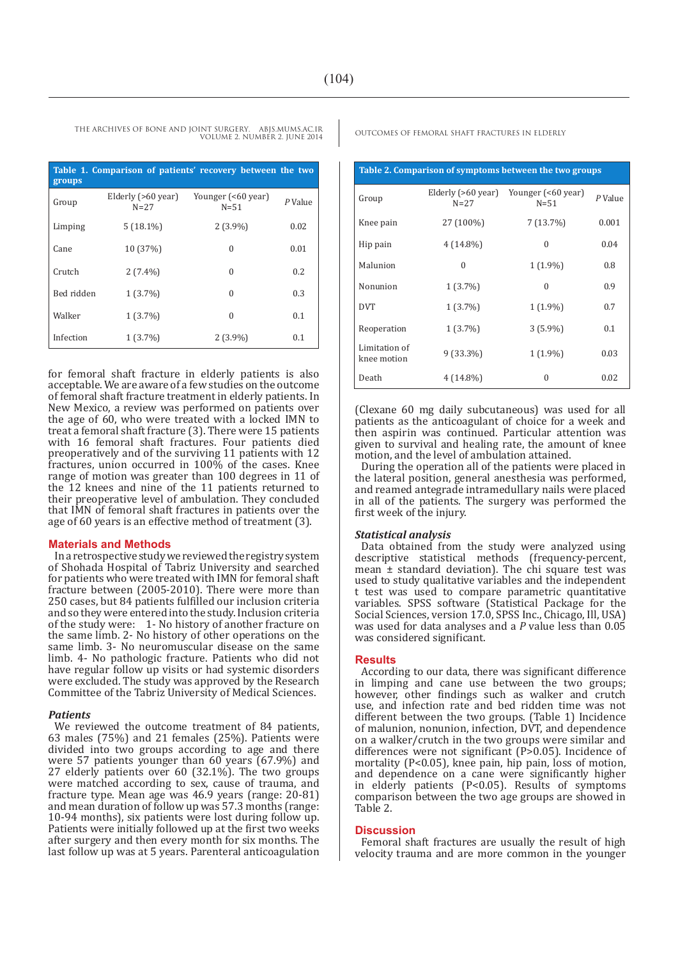| Table 1. Comparison of patients' recovery between the two<br>groups |                                |                                |           |  |  |
|---------------------------------------------------------------------|--------------------------------|--------------------------------|-----------|--|--|
| Group                                                               | Elderly (>60 year)<br>$N = 27$ | Younger (<60 year)<br>$N = 51$ | $P$ Value |  |  |
| Limping                                                             | $5(18.1\%)$                    | $2(3.9\%)$                     | 0.02      |  |  |
| Cane                                                                | 10 (37%)                       | 0                              | 0.01      |  |  |
| Crutch                                                              | $2(7.4\%)$                     | 0                              | 0.2       |  |  |
| Bed ridden                                                          | $1(3.7\%)$                     | 0                              | 0.3       |  |  |
| Walker                                                              | $1(3.7\%)$                     | 0                              | 0.1       |  |  |
| Infection                                                           | $1(3.7\%)$                     | $2(3.9\%)$                     | 0.1       |  |  |

for femoral shaft fracture in elderly patients is also acceptable. We are aware of a few studies on the outcome of femoral shaft fracture treatment in elderly patients. In New Mexico, a review was performed on patients over the age of 60, who were treated with a locked IMN to treat a femoral shaft fracture (3). There were 15 patients with 16 femoral shaft fractures. Four patients died preoperatively and of the surviving 11 patients with 12 fractures, union occurred in 100% of the cases. Knee range of motion was greater than 100 degrees in 11 of the 12 knees and nine of the 11 patients returned to their preoperative level of ambulation. They concluded that IMN of femoral shaft fractures in patients over the age of 60 years is an effective method of treatment (3).

#### **Materials and Methods**

In a retrospective study we reviewed the registry system of Shohada Hospital of Tabriz University and searched for patients who were treated with IMN for femoral shaft fracture between (2005-2010). There were more than 250 cases, but 84 patients fulfilled our inclusion criteria and so they were entered into the study. Inclusion criteria of the study were: 1- No history of another fracture on the same limb. 2- No history of other operations on the same limb. 3- No neuromuscular disease on the same limb. 4- No pathologic fracture. Patients who did not have regular follow up visits or had systemic disorders were excluded. The study was approved by the Research Committee of the Tabriz University of Medical Sciences.

#### *Patients*

We reviewed the outcome treatment of 84 patients, 63 males (75%) and 21 females (25%). Patients were divided into two groups according to age and there were 57 patients younger than 60 years (67.9%) and 27 elderly patients over 60 (32.1%). The two groups were matched according to sex, cause of trauma, and fracture type. Mean age was 46.9 years (range: 20-81) and mean duration of follow up was 57.3 months (range: 10-94 months), six patients were lost during follow up. Patients were initially followed up at the first two weeks after surgery and then every month for six months. The last follow up was at 5 years. Parenteral anticoagulation

| Table 2. Comparison of symptoms between the two groups |                              |                                |           |  |
|--------------------------------------------------------|------------------------------|--------------------------------|-----------|--|
| Group                                                  | Elderly (>60 year)<br>$N=27$ | Younger (<60 year)<br>$N = 51$ | $P$ Value |  |
| Knee pain                                              | 27 (100%)                    | 7(13.7%)                       | 0.001     |  |
| Hip pain                                               | $4(14.8\%)$                  | $\Omega$                       | 0.04      |  |
| Malunion                                               | $\Omega$                     | $1(1.9\%)$                     | 0.8       |  |
| Nonunion                                               | $1(3.7\%)$                   | $\Omega$                       | 0.9       |  |
| <b>DVT</b>                                             | 1(3.7%)                      | $1(1.9\%)$                     | 0.7       |  |
| Reoperation                                            | $1(3.7\%)$                   | $3(5.9\%)$                     | 0.1       |  |
| Limitation of<br>knee motion                           | $9(33.3\%)$                  | $1(1.9\%)$                     | 0.03      |  |
| Death                                                  | $4(14.8\%)$                  | 0                              | 0.02      |  |

(Clexane 60 mg daily subcutaneous) was used for all patients as the anticoagulant of choice for a week and then aspirin was continued. Particular attention was given to survival and healing rate, the amount of knee motion, and the level of ambulation attained.

During the operation all of the patients were placed in the lateral position, general anesthesia was performed, and reamed antegrade intramedullary nails were placed in all of the patients. The surgery was performed the first week of the injury.

#### *Statistical analysis*

Data obtained from the study were analyzed using descriptive statistical methods (frequency-percent, mean ± standard deviation). The chi square test was used to study qualitative variables and the independent t test was used to compare parametric quantitative variables. SPSS software (Statistical Package for the Social Sciences, version 17.0, SPSS Inc., Chicago, Ill, USA) was used for data analyses and a *P* value less than 0.05 was considered significant.

#### **Results**

According to our data, there was significant difference in limping and cane use between the two groups; however, other findings such as walker and crutch use, and infection rate and bed ridden time was not different between the two groups. (Table 1) Incidence of malunion, nonunion, infection, DVT, and dependence on a walker/crutch in the two groups were similar and differences were not significant (P>0.05). Incidence of mortality (P<0.05), knee pain, hip pain, loss of motion, and dependence on a cane were significantly higher in elderly patients (P<0.05). Results of symptoms comparison between the two age groups are showed in Table 2.

#### **Discussion**

Femoral shaft fractures are usually the result of high velocity trauma and are more common in the younger